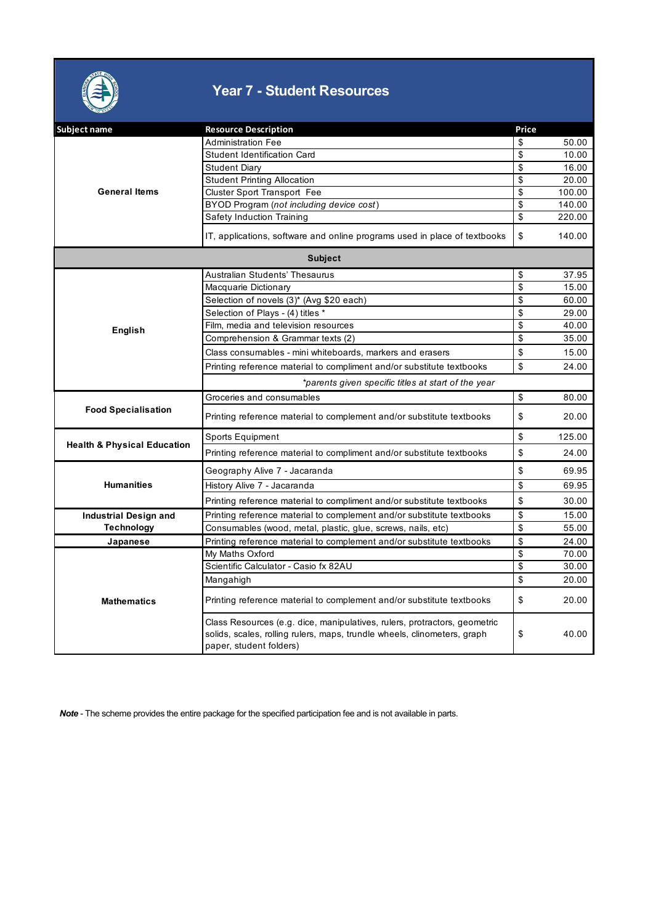

## **Year 7 - Student Resources**

| Subject name                           | <b>Resource Description</b>                                                                                                                                                      | Price        |  |  |  |
|----------------------------------------|----------------------------------------------------------------------------------------------------------------------------------------------------------------------------------|--------------|--|--|--|
| <b>General Items</b>                   | <b>Administration Fee</b>                                                                                                                                                        | 50.00<br>\$  |  |  |  |
|                                        | <b>Student Identification Card</b>                                                                                                                                               | \$<br>10.00  |  |  |  |
|                                        | <b>Student Diary</b>                                                                                                                                                             | \$<br>16.00  |  |  |  |
|                                        | <b>Student Printing Allocation</b>                                                                                                                                               | \$<br>20.00  |  |  |  |
|                                        | <b>Cluster Sport Transport Fee</b>                                                                                                                                               | \$<br>100.00 |  |  |  |
|                                        | BYOD Program (not including device cost)                                                                                                                                         | \$<br>140.00 |  |  |  |
|                                        | Safety Induction Training                                                                                                                                                        | \$<br>220.00 |  |  |  |
|                                        | IT, applications, software and online programs used in place of textbooks                                                                                                        | \$<br>140.00 |  |  |  |
| <b>Subject</b>                         |                                                                                                                                                                                  |              |  |  |  |
|                                        | Australian Students' Thesaurus                                                                                                                                                   | \$<br>37.95  |  |  |  |
|                                        | Macquarie Dictionary                                                                                                                                                             | \$<br>15.00  |  |  |  |
|                                        | Selection of novels (3)* (Avg \$20 each)                                                                                                                                         | \$<br>60.00  |  |  |  |
|                                        | Selection of Plays - (4) titles *                                                                                                                                                | \$<br>29.00  |  |  |  |
| English                                | Film, media and television resources                                                                                                                                             | \$<br>40.00  |  |  |  |
|                                        | Comprehension & Grammar texts (2)                                                                                                                                                | \$<br>35.00  |  |  |  |
|                                        | Class consumables - mini whiteboards, markers and erasers                                                                                                                        | \$<br>15.00  |  |  |  |
|                                        | Printing reference material to compliment and/or substitute textbooks                                                                                                            | \$<br>24.00  |  |  |  |
|                                        | *parents given specific titles at start of the year                                                                                                                              |              |  |  |  |
|                                        | Groceries and consumables                                                                                                                                                        | \$<br>80.00  |  |  |  |
| <b>Food Specialisation</b>             | Printing reference material to complement and/or substitute textbooks                                                                                                            | \$<br>20.00  |  |  |  |
|                                        | Sports Equipment                                                                                                                                                                 | \$<br>125.00 |  |  |  |
| <b>Health &amp; Physical Education</b> | Printing reference material to compliment and/or substitute textbooks                                                                                                            | \$<br>24.00  |  |  |  |
|                                        | Geography Alive 7 - Jacaranda                                                                                                                                                    | \$<br>69.95  |  |  |  |
| <b>Humanities</b>                      | History Alive 7 - Jacaranda                                                                                                                                                      | \$<br>69.95  |  |  |  |
|                                        | Printing reference material to compliment and/or substitute textbooks                                                                                                            | \$<br>30.00  |  |  |  |
| <b>Industrial Design and</b>           | Printing reference material to complement and/or substitute textbooks                                                                                                            | \$<br>15.00  |  |  |  |
| <b>Technology</b>                      | Consumables (wood, metal, plastic, glue, screws, nails, etc)                                                                                                                     | \$<br>55.00  |  |  |  |
| Japanese                               | Printing reference material to complement and/or substitute textbooks                                                                                                            | \$<br>24.00  |  |  |  |
|                                        | My Maths Oxford                                                                                                                                                                  | \$<br>70.00  |  |  |  |
|                                        | Scientific Calculator - Casio fx 82AU                                                                                                                                            | \$<br>30.00  |  |  |  |
|                                        | Mangahigh                                                                                                                                                                        | \$<br>20.00  |  |  |  |
| <b>Mathematics</b>                     | Printing reference material to complement and/or substitute textbooks                                                                                                            | \$<br>20.00  |  |  |  |
|                                        | Class Resources (e.g. dice, manipulatives, rulers, protractors, geometric<br>solids, scales, rolling rulers, maps, trundle wheels, clinometers, graph<br>paper, student folders) | \$<br>40.00  |  |  |  |

*Note* - The scheme provides the entire package for the specified participation fee and is not available in parts.